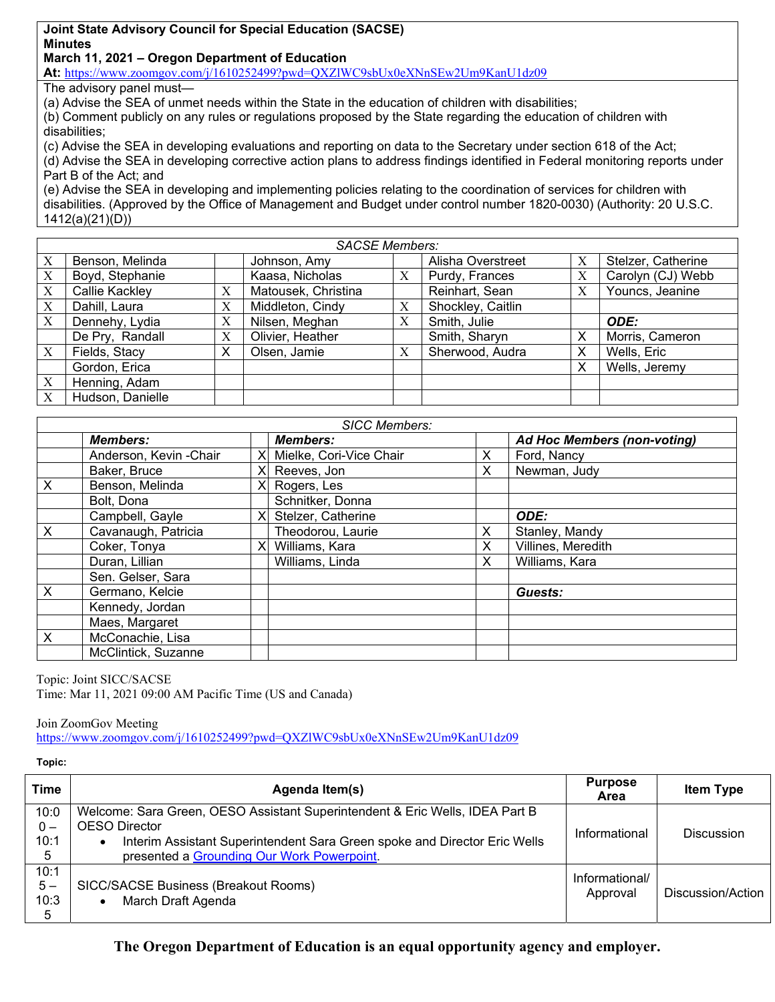## **Joint State Advisory Council for Special Education (SACSE) Minutes March 11, 2021 – Oregon Department of Education**

**At:** https://www.zoomgov.com/j/1610252499?pwd=QXZlWC9sbUx0eXNnSEw2Um9KanU1dz09

The advisory panel must—

(a) Advise the SEA of unmet needs within the State in the education of children with disabilities;

(b) Comment publicly on any rules or regulations proposed by the State regarding the education of children with disabilities;

(c) Advise the SEA in developing evaluations and reporting on data to the Secretary under section 618 of the Act; (d) Advise the SEA in developing corrective action plans to address findings identified in Federal monitoring reports under Part B of the Act; and

(e) Advise the SEA in developing and implementing policies relating to the coordination of services for children with disabilities. (Approved by the Office of Management and Budget under control number 1820-0030) (Authority: 20 U.S.C. 1412(a)(21)(D))

| <b>SACSE Members:</b> |                  |   |                     |   |                   |   |                    |
|-----------------------|------------------|---|---------------------|---|-------------------|---|--------------------|
| X                     | Benson, Melinda  |   | Johnson, Amy        |   | Alisha Overstreet | X | Stelzer, Catherine |
| X                     | Boyd, Stephanie  |   | Kaasa, Nicholas     | X | Purdy, Frances    | X | Carolyn (CJ) Webb  |
| X                     | Callie Kackley   | X | Matousek, Christina |   | Reinhart, Sean    | X | Youncs, Jeanine    |
| X                     | Dahill, Laura    | X | Middleton, Cindy    | X | Shockley, Caitlin |   |                    |
| $\boldsymbol{X}$      | Dennehy, Lydia   | X | Nilsen, Meghan      | X | Smith, Julie      |   | ODE:               |
|                       | De Pry, Randall  | X | Olivier, Heather    |   | Smith, Sharyn     | X | Morris, Cameron    |
| X                     | Fields, Stacy    | X | Olsen, Jamie        | X | Sherwood, Audra   | X | Wells, Eric        |
|                       | Gordon, Erica    |   |                     |   |                   | X | Wells, Jeremy      |
| X                     | Henning, Adam    |   |                     |   |                   |   |                    |
| X                     | Hudson, Danielle |   |                     |   |                   |   |                    |

| <b>SICC Members:</b> |                        |  |                           |    |                                    |  |
|----------------------|------------------------|--|---------------------------|----|------------------------------------|--|
|                      | <b>Members:</b>        |  | <b>Members:</b>           |    | <b>Ad Hoc Members (non-voting)</b> |  |
|                      | Anderson, Kevin -Chair |  | X Mielke, Cori-Vice Chair | X. | Ford, Nancy                        |  |
|                      | Baker, Bruce           |  | Reeves, Jon               | X  | Newman, Judy                       |  |
| X                    | Benson, Melinda        |  | $X$ Rogers, Les           |    |                                    |  |
|                      | Bolt, Dona             |  | Schnitker, Donna          |    |                                    |  |
|                      | Campbell, Gayle        |  | Stelzer, Catherine        |    | ODE:                               |  |
| $\times$             | Cavanaugh, Patricia    |  | Theodorou, Laurie         | X  | Stanley, Mandy                     |  |
|                      | Coker, Tonya           |  | Williams, Kara            | X  | Villines, Meredith                 |  |
|                      | Duran, Lillian         |  | Williams, Linda           | X  | Williams, Kara                     |  |
|                      | Sen. Gelser, Sara      |  |                           |    |                                    |  |
| X                    | Germano, Kelcie        |  |                           |    | Guests:                            |  |
|                      | Kennedy, Jordan        |  |                           |    |                                    |  |
|                      | Maes, Margaret         |  |                           |    |                                    |  |
| X                    | McConachie, Lisa       |  |                           |    |                                    |  |
|                      | McClintick, Suzanne    |  |                           |    |                                    |  |

Topic: Joint SICC/SACSE Time: Mar 11, 2021 09:00 AM Pacific Time (US and Canada)

Join ZoomGov Meeting

https://www.zoomgov.com/j/1610252499?pwd=QXZlWC9sbUx0eXNnSEw2Um9KanU1dz09

**Topic:** 

| Time  | Agenda Item(s)                                                                 | <b>Purpose</b><br>Area | <b>Item Type</b>  |
|-------|--------------------------------------------------------------------------------|------------------------|-------------------|
| 10:0  | Welcome: Sara Green, OESO Assistant Superintendent & Eric Wells, IDEA Part B   |                        |                   |
| $0 -$ | <b>OESO</b> Director                                                           |                        |                   |
| 10:1  | Interim Assistant Superintendent Sara Green spoke and Director Eric Wells<br>٠ | Informational          | Discussion        |
| 5     | presented a Grounding Our Work Powerpoint.                                     |                        |                   |
| 10:1  |                                                                                | Informational/         |                   |
| $5-$  | SICC/SACSE Business (Breakout Rooms)                                           | Approval               | Discussion/Action |
| 10:3  | March Draft Agenda                                                             |                        |                   |
| 5     |                                                                                |                        |                   |

**The Oregon Department of Education is an equal opportunity agency and employer.**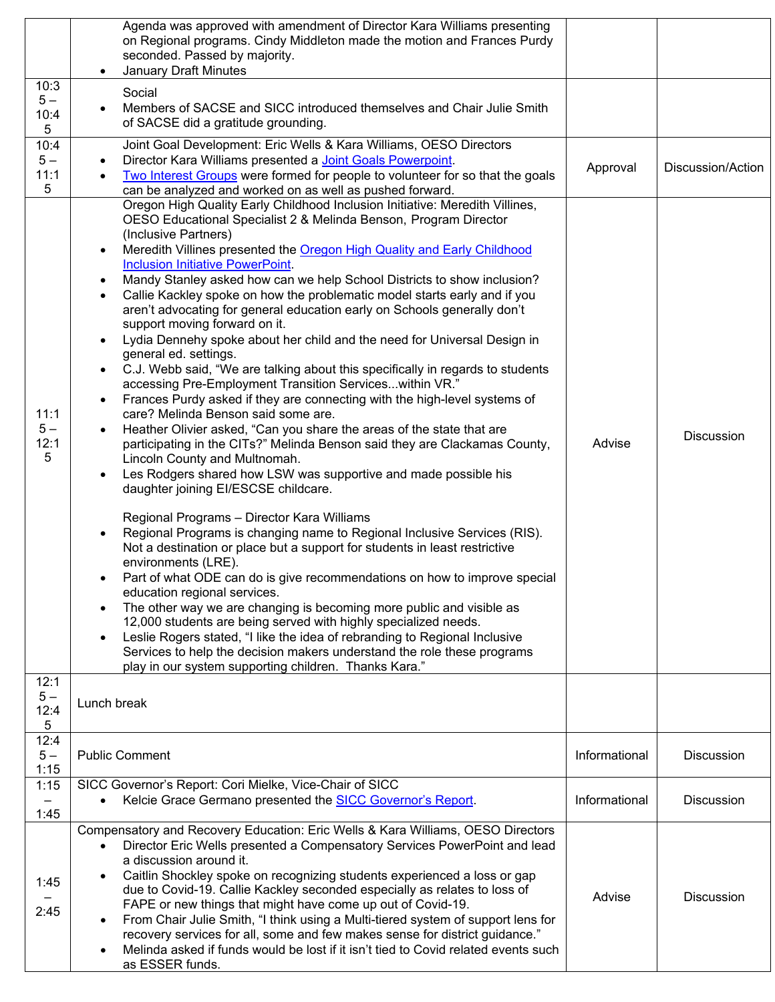|                           | Agenda was approved with amendment of Director Kara Williams presenting<br>on Regional programs. Cindy Middleton made the motion and Frances Purdy<br>seconded. Passed by majority.<br>January Draft Minutes                                                                                                                                                                                                                                                                                                                                                                                                                                                                                                                                                                                                                                                                                                                                                                                                                                                                                                                                                                                                                                                                                                                                                                                                                                                                                                                                                                                                                                                                                                                                                                                                                                                                                                                                                       |               |                   |
|---------------------------|--------------------------------------------------------------------------------------------------------------------------------------------------------------------------------------------------------------------------------------------------------------------------------------------------------------------------------------------------------------------------------------------------------------------------------------------------------------------------------------------------------------------------------------------------------------------------------------------------------------------------------------------------------------------------------------------------------------------------------------------------------------------------------------------------------------------------------------------------------------------------------------------------------------------------------------------------------------------------------------------------------------------------------------------------------------------------------------------------------------------------------------------------------------------------------------------------------------------------------------------------------------------------------------------------------------------------------------------------------------------------------------------------------------------------------------------------------------------------------------------------------------------------------------------------------------------------------------------------------------------------------------------------------------------------------------------------------------------------------------------------------------------------------------------------------------------------------------------------------------------------------------------------------------------------------------------------------------------|---------------|-------------------|
| 10:3<br>$5-$<br>10:4<br>5 | Social<br>Members of SACSE and SICC introduced themselves and Chair Julie Smith<br>of SACSE did a gratitude grounding.                                                                                                                                                                                                                                                                                                                                                                                                                                                                                                                                                                                                                                                                                                                                                                                                                                                                                                                                                                                                                                                                                                                                                                                                                                                                                                                                                                                                                                                                                                                                                                                                                                                                                                                                                                                                                                             |               |                   |
| 10:4<br>$5-$<br>11:1<br>5 | Joint Goal Development: Eric Wells & Kara Williams, OESO Directors<br>Director Kara Williams presented a <b>Joint Goals Powerpoint</b> .<br>Two Interest Groups were formed for people to volunteer for so that the goals<br>can be analyzed and worked on as well as pushed forward.                                                                                                                                                                                                                                                                                                                                                                                                                                                                                                                                                                                                                                                                                                                                                                                                                                                                                                                                                                                                                                                                                                                                                                                                                                                                                                                                                                                                                                                                                                                                                                                                                                                                              | Approval      | Discussion/Action |
| 11:1<br>$5-$<br>12:1<br>5 | Oregon High Quality Early Childhood Inclusion Initiative: Meredith Villines,<br>OESO Educational Specialist 2 & Melinda Benson, Program Director<br>(Inclusive Partners)<br>Meredith Villines presented the Oregon High Quality and Early Childhood<br><b>Inclusion Initiative PowerPoint.</b><br>Mandy Stanley asked how can we help School Districts to show inclusion?<br>Callie Kackley spoke on how the problematic model starts early and if you<br>$\bullet$<br>aren't advocating for general education early on Schools generally don't<br>support moving forward on it.<br>Lydia Dennehy spoke about her child and the need for Universal Design in<br>general ed. settings.<br>C.J. Webb said, "We are talking about this specifically in regards to students<br>accessing Pre-Employment Transition Serviceswithin VR."<br>Frances Purdy asked if they are connecting with the high-level systems of<br>care? Melinda Benson said some are.<br>Heather Olivier asked, "Can you share the areas of the state that are<br>participating in the CITs?" Melinda Benson said they are Clackamas County,<br>Lincoln County and Multnomah.<br>Les Rodgers shared how LSW was supportive and made possible his<br>daughter joining EI/ESCSE childcare.<br>Regional Programs - Director Kara Williams<br>Regional Programs is changing name to Regional Inclusive Services (RIS).<br>Not a destination or place but a support for students in least restrictive<br>environments (LRE).<br>Part of what ODE can do is give recommendations on how to improve special<br>education regional services.<br>The other way we are changing is becoming more public and visible as<br>12,000 students are being served with highly specialized needs.<br>Leslie Rogers stated, "I like the idea of rebranding to Regional Inclusive<br>Services to help the decision makers understand the role these programs<br>play in our system supporting children. Thanks Kara." | Advise        | <b>Discussion</b> |
| 12:1<br>$5-$<br>12:4<br>5 | Lunch break                                                                                                                                                                                                                                                                                                                                                                                                                                                                                                                                                                                                                                                                                                                                                                                                                                                                                                                                                                                                                                                                                                                                                                                                                                                                                                                                                                                                                                                                                                                                                                                                                                                                                                                                                                                                                                                                                                                                                        |               |                   |
| 12:4<br>$5-$<br>1:15      | <b>Public Comment</b>                                                                                                                                                                                                                                                                                                                                                                                                                                                                                                                                                                                                                                                                                                                                                                                                                                                                                                                                                                                                                                                                                                                                                                                                                                                                                                                                                                                                                                                                                                                                                                                                                                                                                                                                                                                                                                                                                                                                              | Informational | Discussion        |
| 1:15<br>1:45              | SICC Governor's Report: Cori Mielke, Vice-Chair of SICC<br>Kelcie Grace Germano presented the SICC Governor's Report.                                                                                                                                                                                                                                                                                                                                                                                                                                                                                                                                                                                                                                                                                                                                                                                                                                                                                                                                                                                                                                                                                                                                                                                                                                                                                                                                                                                                                                                                                                                                                                                                                                                                                                                                                                                                                                              | Informational | <b>Discussion</b> |
| 1:45<br>2:45              | Compensatory and Recovery Education: Eric Wells & Kara Williams, OESO Directors<br>Director Eric Wells presented a Compensatory Services PowerPoint and lead<br>a discussion around it.<br>Caitlin Shockley spoke on recognizing students experienced a loss or gap<br>due to Covid-19. Callie Kackley seconded especially as relates to loss of<br>FAPE or new things that might have come up out of Covid-19.<br>From Chair Julie Smith, "I think using a Multi-tiered system of support lens for<br>recovery services for all, some and few makes sense for district guidance."<br>Melinda asked if funds would be lost if it isn't tied to Covid related events such<br>as ESSER funds.                                                                                                                                                                                                                                                                                                                                                                                                                                                                                                                                                                                                                                                                                                                                                                                                                                                                                                                                                                                                                                                                                                                                                                                                                                                                        | Advise        | <b>Discussion</b> |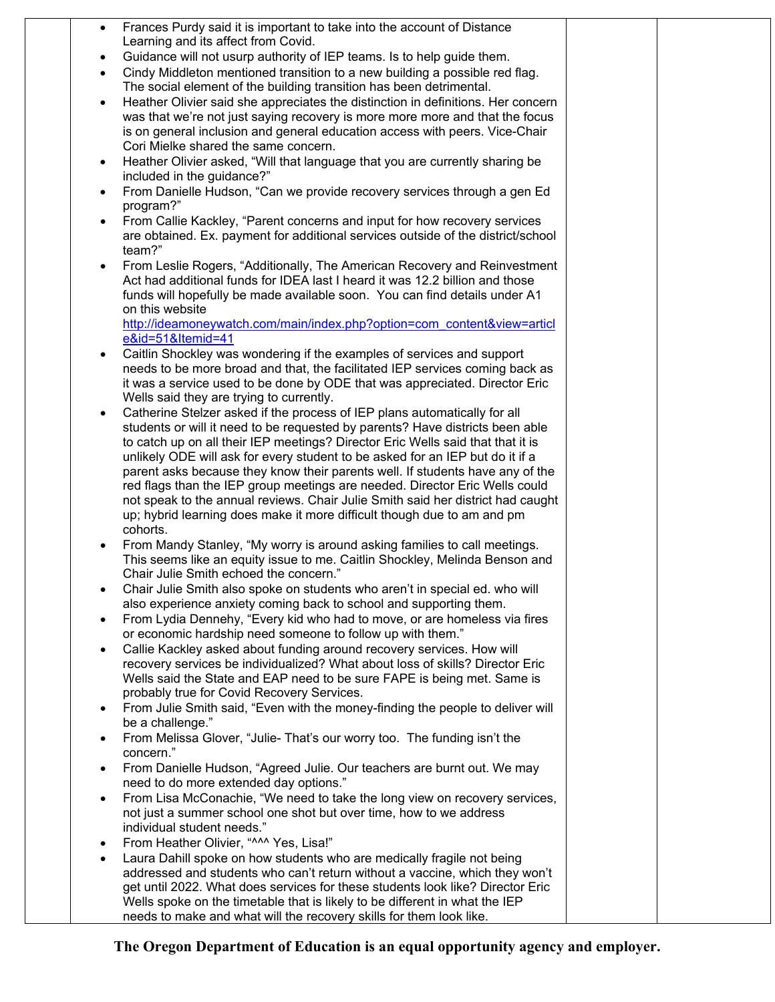| $\bullet$ | Frances Purdy said it is important to take into the account of Distance                                             |  |
|-----------|---------------------------------------------------------------------------------------------------------------------|--|
|           | Learning and its affect from Covid.                                                                                 |  |
| $\bullet$ | Guidance will not usurp authority of IEP teams. Is to help guide them.                                              |  |
| $\bullet$ | Cindy Middleton mentioned transition to a new building a possible red flag.                                         |  |
|           | The social element of the building transition has been detrimental.                                                 |  |
| $\bullet$ | Heather Olivier said she appreciates the distinction in definitions. Her concern                                    |  |
|           | was that we're not just saying recovery is more more more and that the focus                                        |  |
|           | is on general inclusion and general education access with peers. Vice-Chair<br>Cori Mielke shared the same concern. |  |
|           | Heather Olivier asked, "Will that language that you are currently sharing be                                        |  |
| $\bullet$ | included in the guidance?"                                                                                          |  |
| $\bullet$ | From Danielle Hudson, "Can we provide recovery services through a gen Ed                                            |  |
|           | program?"                                                                                                           |  |
| $\bullet$ | From Callie Kackley, "Parent concerns and input for how recovery services                                           |  |
|           | are obtained. Ex. payment for additional services outside of the district/school                                    |  |
|           | team?"                                                                                                              |  |
|           | From Leslie Rogers, "Additionally, The American Recovery and Reinvestment                                           |  |
|           | Act had additional funds for IDEA last I heard it was 12.2 billion and those                                        |  |
|           | funds will hopefully be made available soon. You can find details under A1                                          |  |
|           | on this website                                                                                                     |  |
|           | http://ideamoneywatch.com/main/index.php?option=com_content&view=articl                                             |  |
|           | e&id=51&Itemid=41<br>Caitlin Shockley was wondering if the examples of services and support                         |  |
| $\bullet$ | needs to be more broad and that, the facilitated IEP services coming back as                                        |  |
|           | it was a service used to be done by ODE that was appreciated. Director Eric                                         |  |
|           | Wells said they are trying to currently.                                                                            |  |
| $\bullet$ | Catherine Stelzer asked if the process of IEP plans automatically for all                                           |  |
|           | students or will it need to be requested by parents? Have districts been able                                       |  |
|           | to catch up on all their IEP meetings? Director Eric Wells said that that it is                                     |  |
|           | unlikely ODE will ask for every student to be asked for an IEP but do it if a                                       |  |
|           | parent asks because they know their parents well. If students have any of the                                       |  |
|           | red flags than the IEP group meetings are needed. Director Eric Wells could                                         |  |
|           | not speak to the annual reviews. Chair Julie Smith said her district had caught                                     |  |
|           | up; hybrid learning does make it more difficult though due to am and pm<br>cohorts.                                 |  |
|           | From Mandy Stanley, "My worry is around asking families to call meetings.                                           |  |
|           | This seems like an equity issue to me. Caitlin Shockley, Melinda Benson and                                         |  |
|           | Chair Julie Smith echoed the concern."                                                                              |  |
|           | Chair Julie Smith also spoke on students who aren't in special ed. who will                                         |  |
|           | also experience anxiety coming back to school and supporting them.                                                  |  |
| $\bullet$ | From Lydia Dennehy, "Every kid who had to move, or are homeless via fires                                           |  |
|           | or economic hardship need someone to follow up with them."                                                          |  |
| $\bullet$ | Callie Kackley asked about funding around recovery services. How will                                               |  |
|           | recovery services be individualized? What about loss of skills? Director Eric                                       |  |
|           | Wells said the State and EAP need to be sure FAPE is being met. Same is                                             |  |
|           | probably true for Covid Recovery Services.                                                                          |  |
| $\bullet$ | From Julie Smith said, "Even with the money-finding the people to deliver will                                      |  |
|           | be a challenge."<br>From Melissa Glover, "Julie- That's our worry too. The funding isn't the                        |  |
| $\bullet$ | concern."                                                                                                           |  |
| $\bullet$ | From Danielle Hudson, "Agreed Julie. Our teachers are burnt out. We may                                             |  |
|           | need to do more extended day options."                                                                              |  |
| $\bullet$ | From Lisa McConachie, "We need to take the long view on recovery services,                                          |  |
|           | not just a summer school one shot but over time, how to we address                                                  |  |
|           | individual student needs."                                                                                          |  |
|           | From Heather Olivier, "^^^ Yes, Lisa!"                                                                              |  |
|           | Laura Dahill spoke on how students who are medically fragile not being                                              |  |
|           | addressed and students who can't return without a vaccine, which they won't                                         |  |
|           | get until 2022. What does services for these students look like? Director Eric                                      |  |
|           | Wells spoke on the timetable that is likely to be different in what the IEP                                         |  |
|           | needs to make and what will the recovery skills for them look like.                                                 |  |

**The Oregon Department of Education is an equal opportunity agency and employer.**